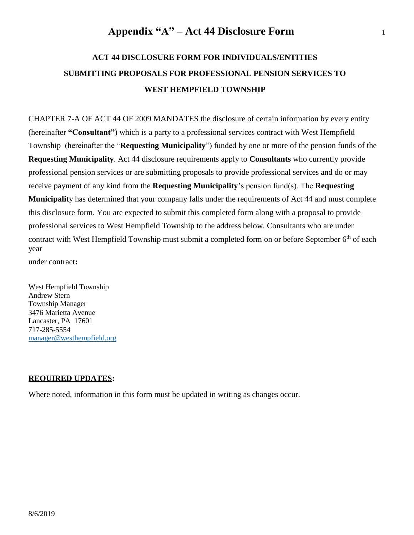# **ACT 44 DISCLOSURE FORM FOR INDIVIDUALS/ENTITIES SUBMITTING PROPOSALS FOR PROFESSIONAL PENSION SERVICES TO WEST HEMPFIELD TOWNSHIP**

CHAPTER 7-A OF ACT 44 OF 2009 MANDATES the disclosure of certain information by every entity (hereinafter **"Consultant"**) which is a party to a professional services contract with West Hempfield Township (hereinafter the "**Requesting Municipality**") funded by one or more of the pension funds of the **Requesting Municipality**. Act 44 disclosure requirements apply to **Consultants** who currently provide professional pension services or are submitting proposals to provide professional services and do or may receive payment of any kind from the **Requesting Municipality**'s pension fund(s). The **Requesting Municipalit**y has determined that your company falls under the requirements of Act 44 and must complete this disclosure form. You are expected to submit this completed form along with a proposal to provide professional services to West Hempfield Township to the address below. Consultants who are under contract with West Hempfield Township must submit a completed form on or before September 6<sup>th</sup> of each year

under contract**:**

West Hempfield Township Andrew Stern Township Manager 3476 Marietta Avenue Lancaster, PA 17601 717-285-5554 [manager@westhempfield.org](mailto:manager@westhempfield.org)

#### **REQUIRED UPDATES:**

Where noted, information in this form must be updated in writing as changes occur.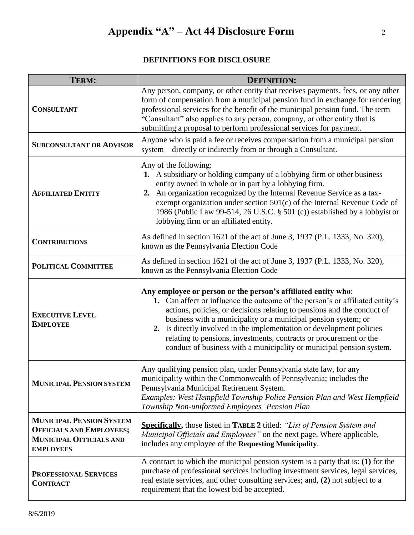### **DEFINITIONS FOR DISCLOSURE**

| TERM:                                                                                                                    | <b>DEFINITION:</b>                                                                                                                                                                                                                                                                                                                                                                                                                                                                                                 |
|--------------------------------------------------------------------------------------------------------------------------|--------------------------------------------------------------------------------------------------------------------------------------------------------------------------------------------------------------------------------------------------------------------------------------------------------------------------------------------------------------------------------------------------------------------------------------------------------------------------------------------------------------------|
| <b>CONSULTANT</b>                                                                                                        | Any person, company, or other entity that receives payments, fees, or any other<br>form of compensation from a municipal pension fund in exchange for rendering<br>professional services for the benefit of the municipal pension fund. The term<br>"Consultant" also applies to any person, company, or other entity that is<br>submitting a proposal to perform professional services for payment.                                                                                                               |
| <b>SUBCONSULTANT OR ADVISOR</b>                                                                                          | Anyone who is paid a fee or receives compensation from a municipal pension<br>system - directly or indirectly from or through a Consultant.                                                                                                                                                                                                                                                                                                                                                                        |
| <b>AFFILIATED ENTITY</b>                                                                                                 | Any of the following:<br>1. A subsidiary or holding company of a lobbying firm or other business<br>entity owned in whole or in part by a lobbying firm.<br>2. An organization recognized by the Internal Revenue Service as a tax-<br>exempt organization under section 501(c) of the Internal Revenue Code of<br>1986 (Public Law 99-514, 26 U.S.C. § 501 (c)) established by a lobbyist or<br>lobbying firm or an affiliated entity.                                                                            |
| <b>CONTRIBUTIONS</b>                                                                                                     | As defined in section 1621 of the act of June 3, 1937 (P.L. 1333, No. 320),<br>known as the Pennsylvania Election Code                                                                                                                                                                                                                                                                                                                                                                                             |
| <b>POLITICAL COMMITTEE</b>                                                                                               | As defined in section 1621 of the act of June 3, 1937 (P.L. 1333, No. 320),<br>known as the Pennsylvania Election Code                                                                                                                                                                                                                                                                                                                                                                                             |
| <b>EXECUTIVE LEVEL</b><br><b>EMPLOYEE</b>                                                                                | Any employee or person or the person's affiliated entity who:<br>1. Can affect or influence the outcome of the person's or affiliated entity's<br>actions, policies, or decisions relating to pensions and the conduct of<br>business with a municipality or a municipal pension system; or<br>2. Is directly involved in the implementation or development policies<br>relating to pensions, investments, contracts or procurement or the<br>conduct of business with a municipality or municipal pension system. |
| <b>MUNICIPAL PENSION SYSTEM</b>                                                                                          | Any qualifying pension plan, under Pennsylvania state law, for any<br>municipality within the Commonwealth of Pennsylvania; includes the<br>Pennsylvania Municipal Retirement System.<br>Examples: West Hempfield Township Police Pension Plan and West Hempfield<br>Township Non-uniformed Employees' Pension Plan                                                                                                                                                                                                |
| <b>MUNICIPAL PENSION SYSTEM</b><br><b>OFFICIALS AND EMPLOYEES;</b><br><b>MUNICIPAL OFFICIALS AND</b><br><b>EMPLOYEES</b> | <b>Specifically</b> , those listed in <b>TABLE 2</b> titled: "List of Pension System and<br>Municipal Officials and Employees" on the next page. Where applicable,<br>includes any employee of the Requesting Municipality.                                                                                                                                                                                                                                                                                        |
| <b>PROFESSIONAL SERVICES</b><br><b>CONTRACT</b>                                                                          | A contract to which the municipal pension system is a party that is: (1) for the<br>purchase of professional services including investment services, legal services,<br>real estate services, and other consulting services; and, (2) not subject to a<br>requirement that the lowest bid be accepted.                                                                                                                                                                                                             |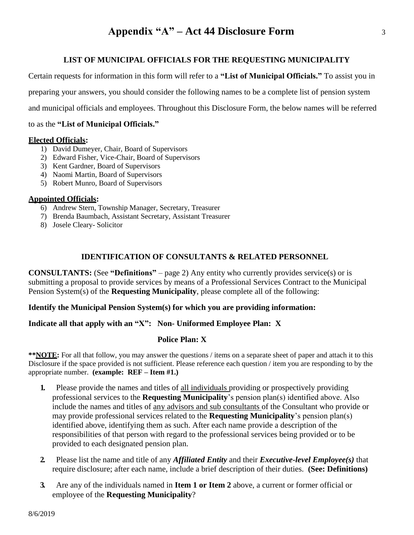#### **LIST OF MUNICIPAL OFFICIALS FOR THE REQUESTING MUNICIPALITY**

Certain requests for information in this form will refer to a **"List of Municipal Officials."** To assist you in preparing your answers, you should consider the following names to be a complete list of pension system and municipal officials and employees. Throughout this Disclosure Form, the below names will be referred

to as the **"List of Municipal Officials."**

#### **Elected Officials:**

- 1) David Dumeyer, Chair, Board of Supervisors
- 2) Edward Fisher, Vice-Chair, Board of Supervisors
- 3) Kent Gardner, Board of Supervisors
- 4) Naomi Martin, Board of Supervisors
- 5) Robert Munro, Board of Supervisors

#### **Appointed Officials:**

- 6) Andrew Stern, Township Manager, Secretary, Treasurer
- 7) Brenda Baumbach, Assistant Secretary, Assistant Treasurer
- 8) Josele Cleary- Solicitor

#### **IDENTIFICATION OF CONSULTANTS & RELATED PERSONNEL**

**CONSULTANTS:** (See **"Definitions"** – page 2) Any entity who currently provides service(s) or is submitting a proposal to provide services by means of a Professional Services Contract to the Municipal Pension System(s) of the **Requesting Municipality**, please complete all of the following:

#### **Identify the Municipal Pension System(s) for which you are providing information:**

#### **Indicate all that apply with an "X": Non- Uniformed Employee Plan: X**

#### **Police Plan: X**

**\*\*NOTE:** For all that follow, you may answer the questions / items on a separate sheet of paper and attach it to this Disclosure if the space provided is not sufficient. Please reference each question / item you are responding to by the appropriate number. **(example: REF – Item #1.)**

- **1.** Please provide the names and titles of all individuals providing or prospectively providing professional services to the **Requesting Municipality**'s pension plan(s) identified above. Also include the names and titles of any advisors and sub consultants of the Consultant who provide or may provide professional services related to the **Requesting Municipality**'s pension plan(s) identified above, identifying them as such. After each name provide a description of the responsibilities of that person with regard to the professional services being provided or to be provided to each designated pension plan.
- **2.** Please list the name and title of any *Affiliated Entity* and their *Executive-level Employee(s)* that require disclosure; after each name, include a brief description of their duties. **(See: Definitions)**
- **3.** Are any of the individuals named in **Item 1 or Item 2** above, a current or former official or employee of the **Requesting Municipality**?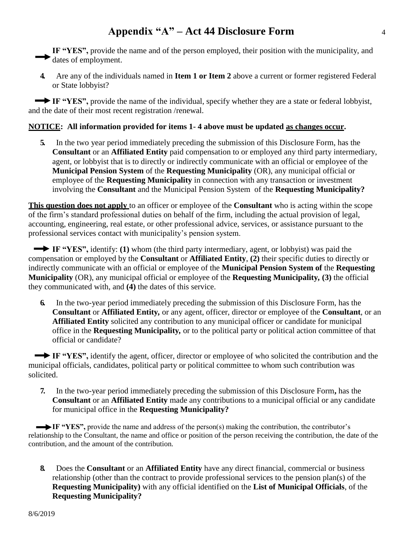IF "YES", provide the name and of the person employed, their position with the municipality, and dates of employment.

**4.** Are any of the individuals named in **Item 1 or Item 2** above a current or former registered Federal or State lobbyist?

**IF "YES",** provide the name of the individual, specify whether they are a state or federal lobbyist, and the date of their most recent registration /renewal.

#### **NOTICE: All information provided for items 1- 4 above must be updated as changes occur.**

**5.** In the two year period immediately preceding the submission of this Disclosure Form, has the **Consultant** or an **Affiliated Entity** paid compensation to or employed any third party intermediary, agent, or lobbyist that is to directly or indirectly communicate with an official or employee of the **Municipal Pension System** of the **Requesting Municipality** (OR), any municipal official or employee of the **Requesting Municipality** in connection with any transaction or investment involving the **Consultant** and the Municipal Pension System of the **Requesting Municipality?**

**This question does not apply** to an officer or employee of the **Consultant** who is acting within the scope of the firm's standard professional duties on behalf of the firm, including the actual provision of legal, accounting, engineering, real estate, or other professional advice, services, or assistance pursuant to the professional services contact with municipality's pension system.

**IF "YES",** identify: **(1)** whom (the third party intermediary, agent, or lobbyist) was paid the compensation or employed by the **Consultant** or **Affiliated Entity**, **(2)** their specific duties to directly or indirectly communicate with an official or employee of the **Municipal Pension System of** the **Requesting Municipality** (OR), any municipal official or employee of the **Requesting Municipality***,* **(3)** the official they communicated with, and **(4)** the dates of this service.

**6.** In the two-year period immediately preceding the submission of this Disclosure Form, has the **Consultant** or **Affiliated Entity***,* or any agent, officer, director or employee of the **Consultant**, or an **Affiliated Entity** solicited any contribution to any municipal officer or candidate for municipal office in the **Requesting Municipality***,* or to the political party or political action committee of that official or candidate?

**IF "YES",** identify the agent, officer, director or employee of who solicited the contribution and the municipal officials, candidates, political party or political committee to whom such contribution was solicited.

**7.** In the two-year period immediately preceding the submission of this Disclosure Form**,** has the **Consultant** or an **Affiliated Entity** made any contributions to a municipal official or any candidate for municipal office in the **Requesting Municipality?**

IF "YES", provide the name and address of the person(s) making the contribution, the contributor's relationship to the Consultant, the name and office or position of the person receiving the contribution, the date of the contribution, and the amount of the contribution.

**8.** Does the **Consultant** or an **Affiliated Entity** have any direct financial, commercial or business relationship (other than the contract to provide professional services to the pension plan(s) of the **Requesting Municipality)** with any official identified on the **List of Municipal Officials**, of the **Requesting Municipality?**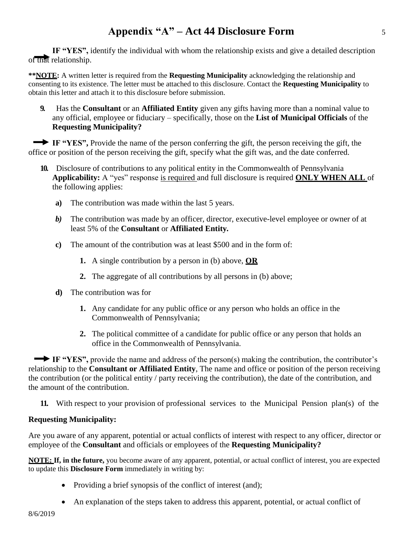**IF "YES",** identify the individual with whom the relationship exists and give a detailed description of that relationship.

**\*\*NOTE:** A written letter is required from the **Requesting Municipality** acknowledging the relationship and consenting to its existence. The letter must be attached to this disclosure. Contact the **Requesting Municipality** to obtain this letter and attach it to this disclosure before submission.

**9.** Has the **Consultant** or an **Affiliated Entity** given any gifts having more than a nominal value to any official, employee or fiduciary – specifically, those on the **List of Municipal Officials** of the **Requesting Municipality?**

**IF "YES",** Provide the name of the person conferring the gift, the person receiving the gift, the office or position of the person receiving the gift, specify what the gift was, and the date conferred.

- **10.** Disclosure of contributions to any political entity in the Commonwealth of Pennsylvania **Applicability:** A "yes" response is required and full disclosure is required **ONLY WHEN ALL** of the following applies:
	- **a)** The contribution was made within the last 5 years.
	- *b)* The contribution was made by an officer, director, executive-level employee or owner of at least 5% of the **Consultant** or **Affiliated Entity***.*
	- **c)** The amount of the contribution was at least \$500 and in the form of:
		- **1.** A single contribution by a person in (b) above, **OR**
		- **2.** The aggregate of all contributions by all persons in (b) above;
	- **d)** The contribution was for
		- **1.** Any candidate for any public office or any person who holds an office in the Commonwealth of Pennsylvania;
		- **2.** The political committee of a candidate for public office or any person that holds an office in the Commonwealth of Pennsylvania.

**IF "YES",** provide the name and address of the person(s) making the contribution, the contributor's relationship to the **Consultant or Affiliated Entity**, The name and office or position of the person receiving the contribution (or the political entity / party receiving the contribution), the date of the contribution, and the amount of the contribution.

**11.** With respect to your provision of professional services to the Municipal Pension plan(s) of the

#### **Requesting Municipality:**

Are you aware of any apparent, potential or actual conflicts of interest with respect to any officer, director or employee of the **Consultant** and officials or employees of the **Requesting Municipality?**

**NOTE: If, in the future,** you become aware of any apparent, potential, or actual conflict of interest, you are expected to update this **Disclosure Form** immediately in writing by:

- Providing a brief synopsis of the conflict of interest (and);
- An explanation of the steps taken to address this apparent, potential, or actual conflict of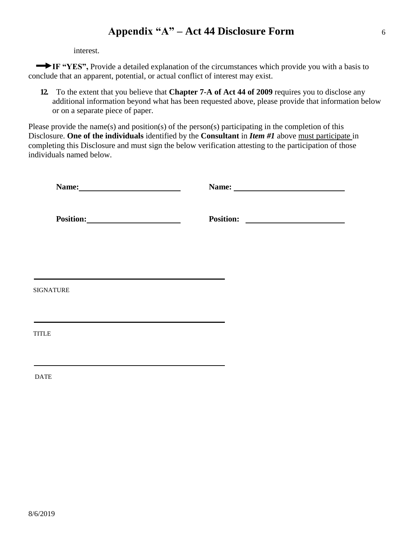interest.

**IF "YES",** Provide a detailed explanation of the circumstances which provide you with a basis to conclude that an apparent, potential, or actual conflict of interest may exist.

**12.** To the extent that you believe that **Chapter 7-A of Act 44 of 2009** requires you to disclose any additional information beyond what has been requested above, please provide that information below or on a separate piece of paper.

Please provide the name(s) and position(s) of the person(s) participating in the completion of this Disclosure. **One of the individuals** identified by the **Consultant** in *Item #1* above must participate in completing this Disclosure and must sign the below verification attesting to the participation of those individuals named below.

| Name: Name and Solid Report of the Mass of the Mass of the Mass of the Mass of the Mass of the Mass of the Mass of the Mass of the Mass of the Mass of the Mass of the Mass of the Mass of the Mass of the Mass of the Mass of |  |
|--------------------------------------------------------------------------------------------------------------------------------------------------------------------------------------------------------------------------------|--|
|                                                                                                                                                                                                                                |  |
|                                                                                                                                                                                                                                |  |
| <b>SIGNATURE</b>                                                                                                                                                                                                               |  |
| <b>TITLE</b>                                                                                                                                                                                                                   |  |
| <b>DATE</b>                                                                                                                                                                                                                    |  |